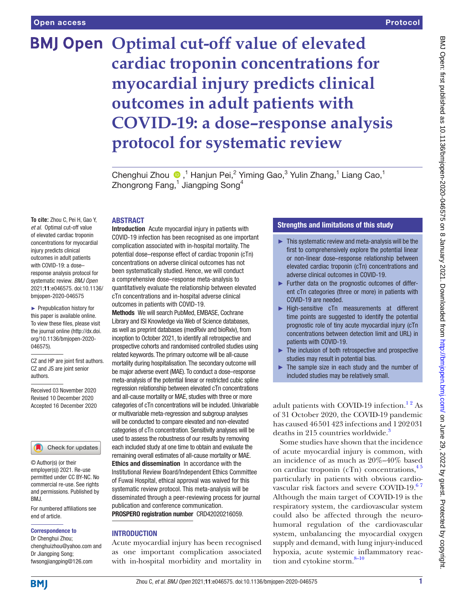# **BMJ Open Optimal cut-off value of elevated cardiac troponin concentrations for myocardial injury predicts clinical outcomes in adult patients with COVID-19: a dose–response analysis protocol for systematic review**

ChenghuiZhou <sup>n</sup>,<sup>1</sup> Hanjun Pei,<sup>2</sup> Yiming Gao,<sup>3</sup> Yulin Zhang,<sup>1</sup> Liang Cao,<sup>1</sup> Zhongrong Fang, $^1$  Jiangping Song $^4$ 

## ABSTRACT

**To cite:** Zhou C, Pei H, Gao Y, *et al*. Optimal cut-off value of elevated cardiac troponin concentrations for myocardial injury predicts clinical outcomes in adult patients with COVID-19: a dose– response analysis protocol for systematic review. *BMJ Open* 2021;11:e046575. doi:10.1136/ bmjopen-2020-046575

► Prepublication history for this paper is available online. To view these files, please visit the journal online (http://dx.doi. org/10.1136/bmjopen-2020- 046575).

CZ and HP are joint first authors. CZ and JS are joint senior authors.

Received 03 November 2020 Revised 10 December 2020 Accepted 16 December 2020

## Check for updates

© Author(s) (or their employer(s)) 2021. Re-use permitted under CC BY-NC. No commercial re-use. See rights and permissions. Published by RM<sub>J</sub>

For numbered affiliations see end of article.

## Correspondence to

Dr Chenghui Zhou; chenghuizhou@yahoo.com and Dr Jiangping Song; fwsongjiangping@126.com

Introduction Acute myocardial injury in patients with COVID-19 infection has been recognised as one important complication associated with in-hospital mortality. The potential dose–response effect of cardiac troponin (cTn) concentrations on adverse clinical outcomes has not been systematically studied. Hence, we will conduct a comprehensive dose–response meta-analysis to quantitatively evaluate the relationship between elevated cTn concentrations and in-hospital adverse clinical outcomes in patients with COVID-19.

Methods We will search PubMed, EMBASE, Cochrane Library and ISI Knowledge via Web of Science databases, as well as preprint databases (medRxiv and bioRxiv), from inception to October 2021, to identify all retrospective and prospective cohorts and randomised controlled studies using related keywords. The primary outcome will be all-cause mortality during hospitalisation. The secondary outcome will be major adverse event (MAE). To conduct a dose–response meta-analysis of the potential linear or restricted cubic spline regression relationship between elevated cTn concentrations and all-cause mortality or MAE, studies with three or more categories of cTn concentrations will be included. Univariable or multivariable meta-regression and subgroup analyses will be conducted to compare elevated and non-elevated categories of cTn concentration. Sensitivity analyses will be used to assess the robustness of our results by removing each included study at one time to obtain and evaluate the remaining overall estimates of all-cause mortality or MAE. Ethics and dissemination In accordance with the Institutional Review Board/Independent Ethics Committee of Fuwai Hospital, ethical approval was waived for this systematic review protocol. This meta-analysis will be disseminated through a peer-reviewing process for journal publication and conference communication. PROSPERO registration number CRD42020216059.

## **INTRODUCTION**

Acute myocardial injury has been recognised as one important complication associated with in-hospital morbidity and mortality in

# Strengths and limitations of this study

- $\blacktriangleright$  This systematic review and meta-analysis will be the first to comprehensively explore the potential linear or non-linear dose–response relationship between elevated cardiac troponin (cTn) concentrations and adverse clinical outcomes in COVID-19.
- ► Further data on the prognostic outcomes of different cTn categories (three or more) in patients with COVID-19 are needed.
- ► High-sensitive cTn measurements at different time points are suggested to identify the potential prognostic role of tiny acute myocardial injury (cTn concentrations between detection limit and URL) in patients with COVID-19.
- ► The inclusion of both retrospective and prospective studies may result in potential bias.
- $\blacktriangleright$  The sample size in each study and the number of included studies may be relatively small.

adult patients with COVID-19 infection.<sup>12</sup> As of 31 October 2020, the COVID-19 pandemic has caused 46501423 infections and 1202031 deaths in 215 countries worldwide.<sup>3</sup>

Some studies have shown that the incidence of acute myocardial injury is common, with an incidence of as much as 20%–40% based on cardiac troponin (cTn) concentrations,  $45$ particularly in patients with obvious cardiovascular risk factors and severe COVID-19.<sup>67</sup> Although the main target of COVID-19 is the respiratory system, the cardiovascular system could also be affected through the neurohumoral regulation of the cardiovascular system, unbalancing the myocardial oxygen supply and demand, with lung injury-induced hypoxia, acute systemic inflammatory reaction and cytokine storm.<sup>8-10</sup>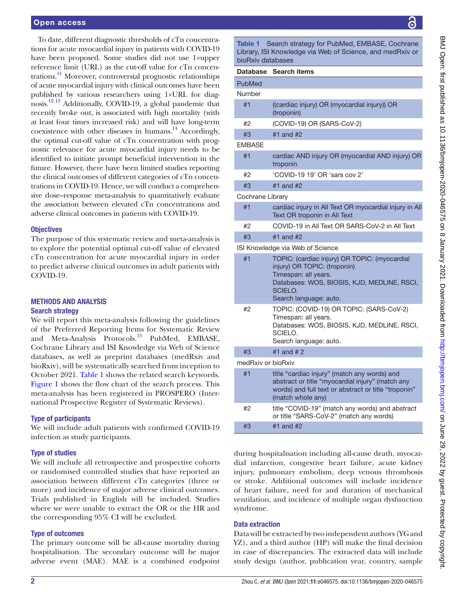## Open access

To date, different diagnostic thresholds of cTn concentrations for acute myocardial injury in patients with COVID-19 have been proposed. Some studies did not use 1×upper reference limit (URL) as the cut-off value for cTn concentrations.[11](#page-4-5) Moreover, controversial prognostic relationships of acute myocardial injury with clinical outcomes have been published by various researchers using 1×URL for diagnosis.[12 13](#page-4-6) Additionally, COVID-19, a global pandemic that recently broke out, is associated with high mortality (with at least four times increased risk) and will have long-term coexistence with other diseases in humans.<sup>14</sup> Accordingly, the optimal cut-off value of cTn concentration with prognostic relevance for acute myocardial injury needs to be identified to initiate prompt beneficial intervention in the future. However, there have been limited studies reporting the clinical outcomes of different categories of cTn concentrations in COVID-19. Hence, we will conduct a comprehensive dose–response meta-analysis to quantitatively evaluate the association between elevated cTn concentrations and adverse clinical outcomes in patients with COVID-19.

# **Objectives**

The purpose of this systematic review and meta-analysis is to explore the potential optimal cut-off value of elevated cTn concentration for acute myocardial injury in order to predict adverse clinical outcomes in adult patients with COVID-19.

## METHODS AND ANALYSIS Search strategy

We will report this meta-analysis following the guidelines of the Preferred Reporting Items for Systematic Review and Meta-Analysis Protocols.[15](#page-4-8) PubMed, EMBASE, Cochrane Library and ISI Knowledge via Web of Science databases, as well as preprint databases (medRxiv and bioRxiv), will be systematically searched from inception to October 2021. [Table](#page-1-0) 1 shows the related search keywords. [Figure](#page-2-0) 1 shows the flow chart of the search process. This meta-analysis has been registered in PROSPERO (International Prospective Register of Systematic Reviews).

# Type of participants

We will include adult patients with confirmed COVID-19 infection as study participants.

# Type of studies

We will include all retrospective and prospective cohorts or randomised controlled studies that have reported an association between different cTn categories (three or more) and incidence of major adverse clinical outcomes. Trials published in English will be included. Studies where we were unable to extract the OR or the HR and the corresponding 95% CI will be excluded.

# Type of outcomes

The primary outcome will be all-cause mortality during hospitalisation. The secondary outcome will be major adverse event (MAE). MAE is a combined endpoint

<span id="page-1-0"></span>Table 1 Search strategy for PubMed, EMBASE, Cochrane Library, ISI Knowledge via Web of Science, and medRxiv or bioRxiv databases Database Search items PubMed #1 ((cardiac injury) OR (myocardial injury)) OR (troponin) #2 (COVID-19) OR (SARS-CoV-2) #3 #1 and #2 EMBASE #1 cardiac AND injury OR (myocardial AND injury) OR troponin #2 'COVID-19 19' OR 'sars cov 2' #3 #1 and #2 Cochrane Library #1 cardiac injury in All Text OR myocardial injury in All Text OR troponin in All Text #2 COVID-19 in All Text OR SARS-CoV-2 in All Text #3 #1 and #2 ISI Knowledge via Web of Science #1 TOPIC: (cardiac injury) OR TOPIC: (myocardial injury) OR TOPIC: (troponin) Timespan: all years. Databases: WOS, BIOSIS, KJD, MEDLINE, RSCI, SCIELO. Search language: auto. #2 TOPIC: (COVID-19) OR TOPIC: (SARS-CoV-2) Timespan: all years. Databases: WOS, BIOSIS, KJD, MEDLINE, RSCI, SCIELO. Search language: auto. #3 #1 and # 2

medRxiv or bioRxiv #1 title "cardiac injury" (match any words) and abstract or title "myocardial injury" (match any words) and full text or abstract or title "troponin" (match whole any) #2 title "COVID-19" (match any words) and abstract or title "SARS-CoV-2" (match any words) #3 #1 and #2

during hospitalisation including all-cause death, myocardial infarction, congestive heart failure, acute kidney injury, pulmonary embolism, deep venous thrombosis or stroke. Additional outcomes will include incidence of heart failure, need for and duration of mechanical ventilation, and incidence of multiple organ dysfunction syndrome.

# Data extraction

Number

Data will be extracted by two independent authors (YG and YZ), and a third author (HP) will make the final decision in case of discrepancies. The extracted data will include study design (author, publication year, country, sample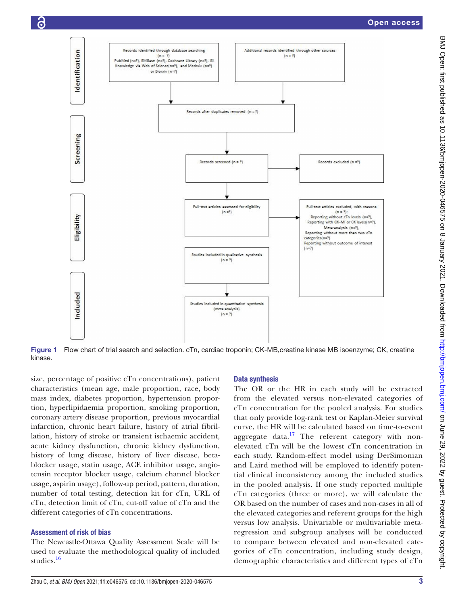

<span id="page-2-0"></span>Figure 1 Flow chart of trial search and selection. cTn, cardiac troponin; CK-MB,creatine kinase MB isoenzyme; CK, creatine kinase.

size, percentage of positive cTn concentrations), patient characteristics (mean age, male proportion, race, body mass index, diabetes proportion, hypertension proportion, hyperlipidaemia proportion, smoking proportion, coronary artery disease proportion, previous myocardial infarction, chronic heart failure, history of atrial fibrillation, history of stroke or transient ischaemic accident, acute kidney dysfunction, chronic kidney dysfunction, history of lung disease, history of liver disease, betablocker usage, statin usage, ACE inhibitor usage, angiotensin receptor blocker usage, calcium channel blocker usage, aspirin usage), follow-up period, pattern, duration, number of total testing, detection kit for cTn, URL of cTn, detection limit of cTn, cut-off value of cTn and the different categories of cTn concentrations.

## Assessment of risk of bias

Õ

The Newcastle-Ottawa Quality Assessment Scale will be used to evaluate the methodological quality of included studies.[16](#page-4-9)

# Data synthesis

The OR or the HR in each study will be extracted from the elevated versus non-elevated categories of cTn concentration for the pooled analysis. For studies that only provide log-rank test or Kaplan-Meier survival curve, the HR will be calculated based on time-to-event aggregate data.<sup>17</sup> The referent category with nonelevated cTn will be the lowest cTn concentration in each study. Random-effect model using DerSimonian and Laird method will be employed to identify potential clinical inconsistency among the included studies in the pooled analysis. If one study reported multiple cTn categories (three or more), we will calculate the OR based on the number of cases and non-cases in all of the elevated categories and referent groups for the high versus low analysis. Univariable or multivariable metaregression and subgroup analyses will be conducted to compare between elevated and non-elevated categories of cTn concentration, including study design, demographic characteristics and different types of cTn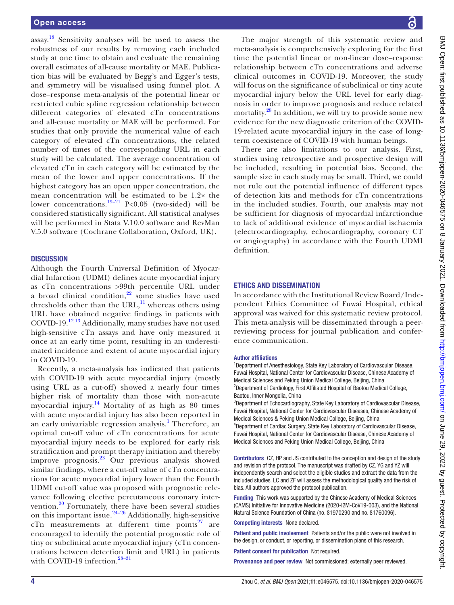assay.<sup>[18](#page-4-11)</sup> Sensitivity analyses will be used to assess the robustness of our results by removing each included study at one time to obtain and evaluate the remaining overall estimates of all-cause mortality or MAE. Publication bias will be evaluated by Begg's and Egger's tests, and symmetry will be visualised using funnel plot. A dose–response meta-analysis of the potential linear or restricted cubic spline regression relationship between different categories of elevated cTn concentrations and all-cause mortality or MAE will be performed. For studies that only provide the numerical value of each category of elevated cTn concentrations, the related number of times of the corresponding URL in each study will be calculated. The average concentration of elevated cTn in each category will be estimated by the mean of the lower and upper concentrations. If the highest category has an open upper concentration, the mean concentration will be estimated to be 1.2× the lower concentrations.<sup>[19–21](#page-4-12)</sup> P<0.05 (two-sided) will be considered statistically significant. All statistical analyses will be performed in Stata V.10.0 software and RevMan V.5.0 software (Cochrane Collaboration, Oxford, UK).

## **DISCUSSION**

Although the Fourth Universal Definition of Myocardial Infarction (UDMI) defines acute myocardial injury as cTn concentrations >99th percentile URL under a broad clinical condition, $22$  some studies have used thresholds other than the URL, $^{11}$  whereas others using URL have obtained negative findings in patients with COVID-19.[12 13](#page-4-6) Additionally, many studies have not used high-sensitive cTn assays and have only measured it once at an early time point, resulting in an underestimated incidence and extent of acute myocardial injury in COVID-19.

Recently, a meta-analysis has indicated that patients with COVID-19 with acute myocardial injury (mostly using URL as a cut-off) showed a nearly four times higher risk of mortality than those with non-acute myocardial injury.<sup>14</sup> Mortality of as high as 80 times with acute myocardial injury has also been reported in an early univariable regression analysis.<sup>[1](#page-4-0)</sup> Therefore, an optimal cut-off value of cTn concentrations for acute myocardial injury needs to be explored for early risk stratification and prompt therapy initiation and thereby improve prognosis. $^{23}$  Our previous analysis showed similar findings, where a cut-off value of cTn concentrations for acute myocardial injury lower than the Fourth UDMI cut-off value was proposed with prognostic relevance following elective percutaneous coronary inter-vention.<sup>[20](#page-4-15)</sup> Fortunately, there have been several studies on this important issue.[24–26](#page-4-16) Additionally, high-sensitive cTn measurements at different time points $27$  are encouraged to identify the potential prognostic role of tiny or subclinical acute myocardial injury (cTn concentrations between detection limit and URL) in patients with COVID-19 infection.<sup>28-31</sup>

BMJ Open: first published as 10.1136/bmjopen-2020-046575 on 8 January 2021. Downloaded from http://bmjopen.bmj.com/ on June 29, 2022 by guest. Protected by copyright BMJ Open: first published as 10.1136/bmjopen-2020-046575 on 8 January 2021. Downloaded from Downloaded from Dume 29, 2022. by guest. Protected by copyright.

The major strength of this systematic review and meta-analysis is comprehensively exploring for the first time the potential linear or non-linear dose–response relationship between cTn concentrations and adverse clinical outcomes in COVID-19. Moreover, the study will focus on the significance of subclinical or tiny acute myocardial injury below the URL level for early diagnosis in order to improve prognosis and reduce related mortality.<sup>28</sup> In addition, we will try to provide some new evidence for the new diagnostic criterion of the COVID-19-related acute myocardial injury in the case of longterm coexistence of COVID-19 with human beings.

There are also limitations to our analysis. First, studies using retrospective and prospective design will be included, resulting in potential bias. Second, the sample size in each study may be small. Third, we could not rule out the potential influence of different types of detection kits and methods for cTn concentrations in the included studies. Fourth, our analysis may not be sufficient for diagnosis of myocardial infarctiondue to lack of additional evidence of myocardial ischaemia (electrocardiography, echocardiography, coronary CT or angiography) in accordance with the Fourth UDMI definition.

### ETHICS AND DISSEMINATION

In accordance with the Institutional Review Board/Independent Ethics Committee of Fuwai Hospital, ethical approval was waived for this systematic review protocol. This meta-analysis will be disseminated through a peerreviewing process for journal publication and conference communication.

#### Author affiliations

<sup>1</sup>Department of Anesthesiology, State Key Laboratory of Cardiovascular Disease, Fuwai Hospital, National Center for Cardiovascular Disease, Chinese Academy of Medical Sciences and Peking Union Medical College, Beijing, China <sup>2</sup>Department of Cardiology, First Affiliated Hospital of Baotou Medical College, Baotou, Inner Mongolia, China

<sup>3</sup>Department of Echocardiography, State Key Laboratory of Cardiovascular Disease, Fuwai Hospital, National Center for Cardiovascular Diseases, Chinese Academy of Medical Sciences & Peking Union Medical College, Beijing, China 4 Department of Cardiac Surgery, State Key Laboratory of Cardiovascular Disease,

Fuwai Hospital, National Center for Cardiovascular Disease, Chinese Academy of Medical Sciences and Peking Union Medical College, Beijing, China

Contributors CZ, HP and JS contributed to the conception and design of the study and revision of the protocol. The manuscript was drafted by CZ. YG and YZ will independently search and select the eligible studies and extract the data from the included studies. LC and ZF will assess the methodological quality and the risk of bias. All authors approved the protocol publication.

Funding This work was supported by the Chinese Academy of Medical Sciences (CAMS) Initiative for Innovative Medicine (2020-I2M-CoV19-003), and the National Natural Science Foundation of China (no. 81970290 and no. 81760096).

Competing interests None declared.

Patient and public involvement Patients and/or the public were not involved in the design, or conduct, or reporting, or dissemination plans of this research.

Patient consent for publication Not required.

Provenance and peer review Not commissioned; externally peer reviewed.